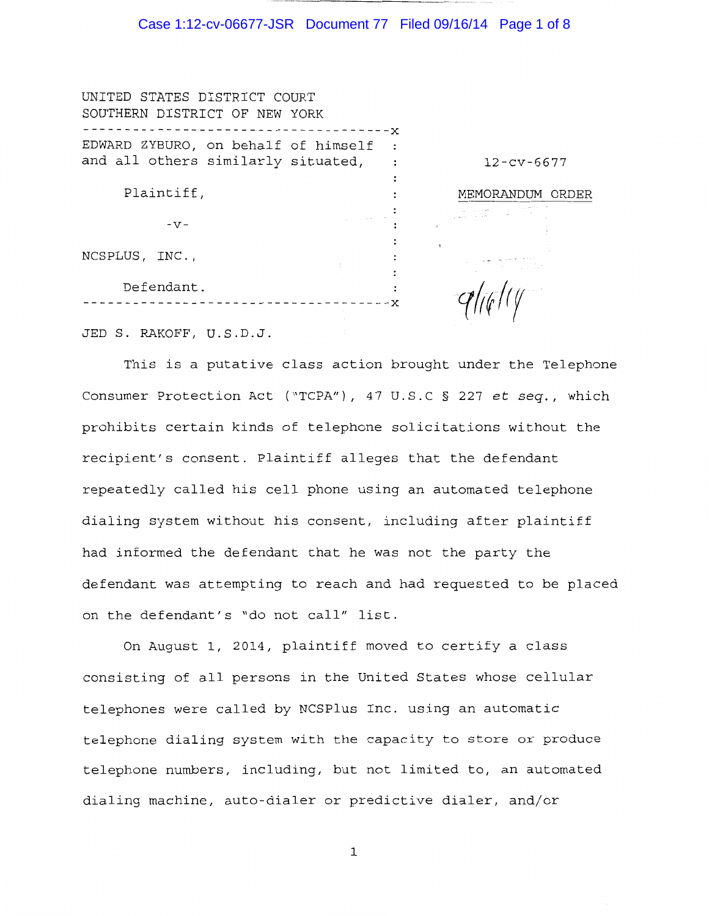#### Case 1:12-cv-06677-JSR Document 77 Filed 09/16/14 Page 1 of 8

| UNITED STATES DISTRICT COURT        |     |                  |
|-------------------------------------|-----|------------------|
| SOUTHERN DISTRICT OF NEW YORK       | - x |                  |
| EDWARD ZYBURO, on behalf of himself |     |                  |
| and all others similarly situated,  |     | $12 - cv - 6677$ |
| Plaintiff,                          |     | MEMORANDUM ORDER |
| $-V -$                              |     |                  |
| NCSPLUS, INC.,                      |     |                  |
| Defendant.                          |     |                  |
|                                     |     |                  |

JED S. RAKOFF, U.S.D.J.

This is a putative class action brought under the Telephone Consumer Protection Act ("TCPA"), 47 U.S.C § 227 *et seq.,* which prohibits certain kinds of telephone solicitations without the recipient's consent. Plaintiff alleges that the defendant repeatedly called his cell phone using an automated telephone dialing system without his consent, including after plaintiff had informed the defendant that he was not the party the defendant was attempting to reach and had requested to be placed on the defendant's "do not call" list.

On August 1, 2014, plaintiff moved to certify a class consisting of all persons in the United States whose cellular telephones were called by NCSPlus Inc. using an automatic telephone dialing system with the capacity to store or produce telephone numbers, including, but not limited to, an automated dialing machine, auto-dialer or predictive dialer, and/or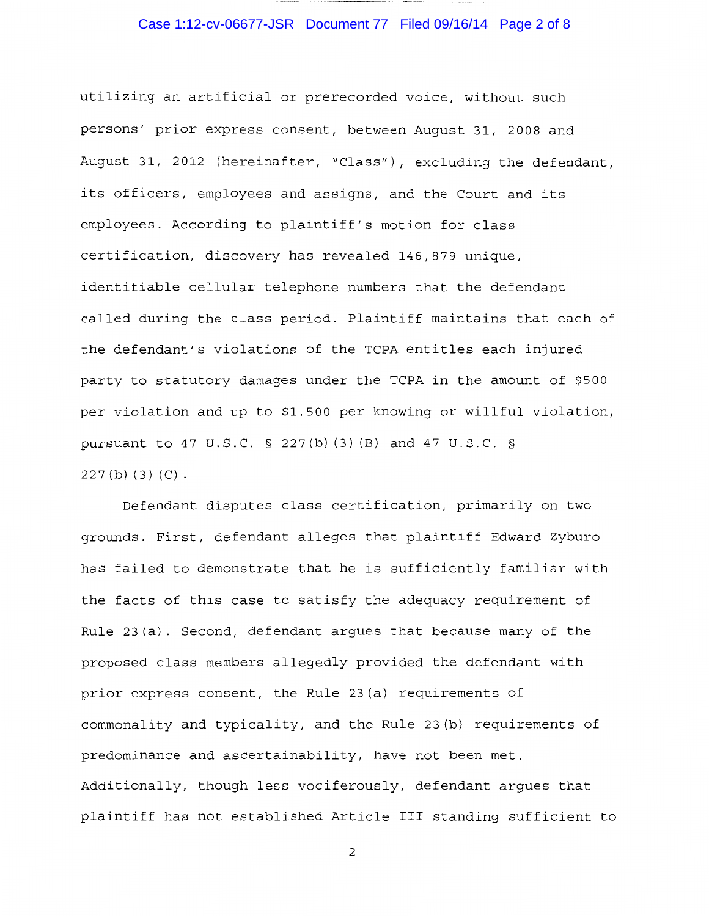## Case 1:12-cv-06677-JSR Document 77 Filed 09/16/14 Page 2 of 8

utilizing an artificial or prerecorded voice, without such persons' prior express consent, between August 31, 2008 and August 31, 2012 (hereinafter, "Class"), excluding the defendant, its officers, employees and assigns, and the Court and its employees. According to plaintiff's motion for class certification, discovery has revealed 146,879 unique, identifiable cellular telephone numbers that the defendant called during the class period. Plaintiff maintains that each of the defendant's violations of the TCPA entitles each injured party to statutory damages under the TCPA in the amount of \$500 per violation and up to \$1,500 per knowing or willful violation, pursuant to 47 U.S.C. § 227 (b) (3) (B) and 47 U.S.C. §  $227(b)(3)(C)$ .

Defendant disputes class certification, primarily on two grounds. First, defendant alleges that plaintiff Edward Zyburo has failed to demonstrate that he is sufficiently familiar with the facts of this case to satisfy the adequacy requirement of Rule 23(a). Second, defendant argues that because many of the proposed class members allegedly provided the defendant with prior express consent, the Rule 23(a} requirements of commonality and typicality, and the Rule 23(b) requirements of predominance and ascertainability, have not been met. Additionally, though less vociferously, defendant argues that plaintiff has not established Article III standing sufficient to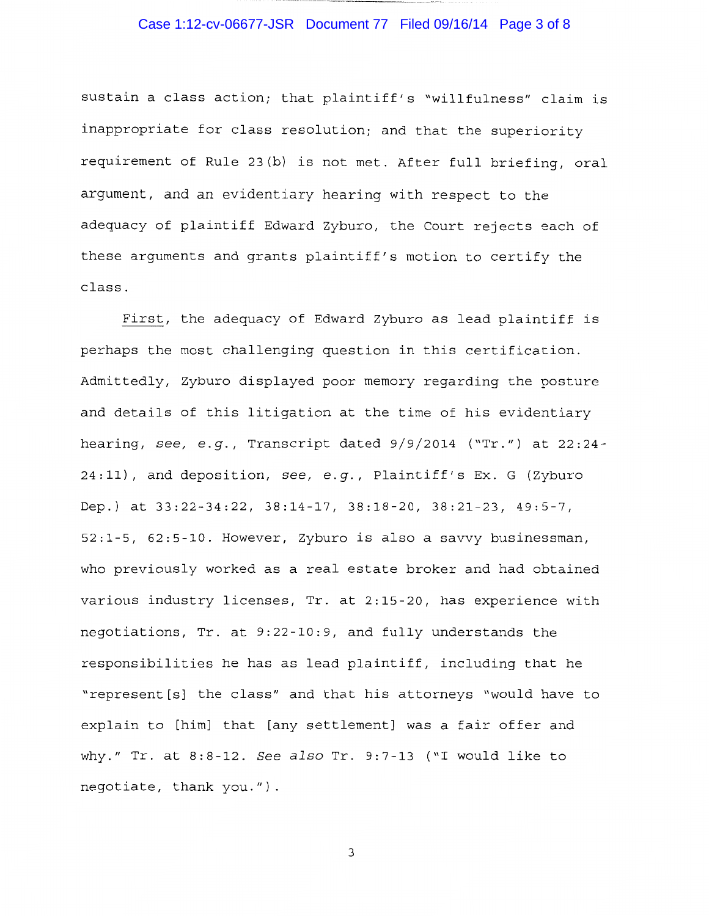#### Case 1:12-cv-06677-JSR Document 77 Filed 09/16/14 Page 3 of 8

sustain a class action; that plaintiff's "willfulness" claim is inappropriate for class resolution; and that the superiority requirement of Rule 23(b) is not met. After full briefing, oral argument, and an evidentiary hearing with respect to the adequacy of plaintiff Edward Zyburo, the Court rejects each of these arguments and grants plaintiff's motion to certify the class.

First, the adequacy of Edward Zyburo as lead plaintiff is perhaps the most challenging question in this certification. Admittedly, Zyburo displayed poor memory regarding the posture and details of this litigation at the time of his evidentiary hearing, *see, e.g.,* Transcript dated 9/9/2014 ("Tr.") at 22:24- 24:11), and deposition, *see, e.g.,* Plaintiff's Ex. G (Zyburo Dep.) at 33:22-34:22, 38:14-17, 38:18-20, 38:21-23, 49:5-7, 52:1-5, 62:5-10. However, Zyburo is also a savvy businessman, who previously worked as a real estate broker and had obtained various industry licenses, Tr. at 2:15-20, has experience with negotiations, Tr. at 9:22-10:9, and fully understands the responsibilities he has as lead plaintiff, including that he "represent[s] the class" and that his attorneys "would have to explain to [him] that [any settlement] was a fair offer and why." Tr. at 8:8-12. *See also* Tr. 9:7-13 ("I would like to negotiate, thank you.").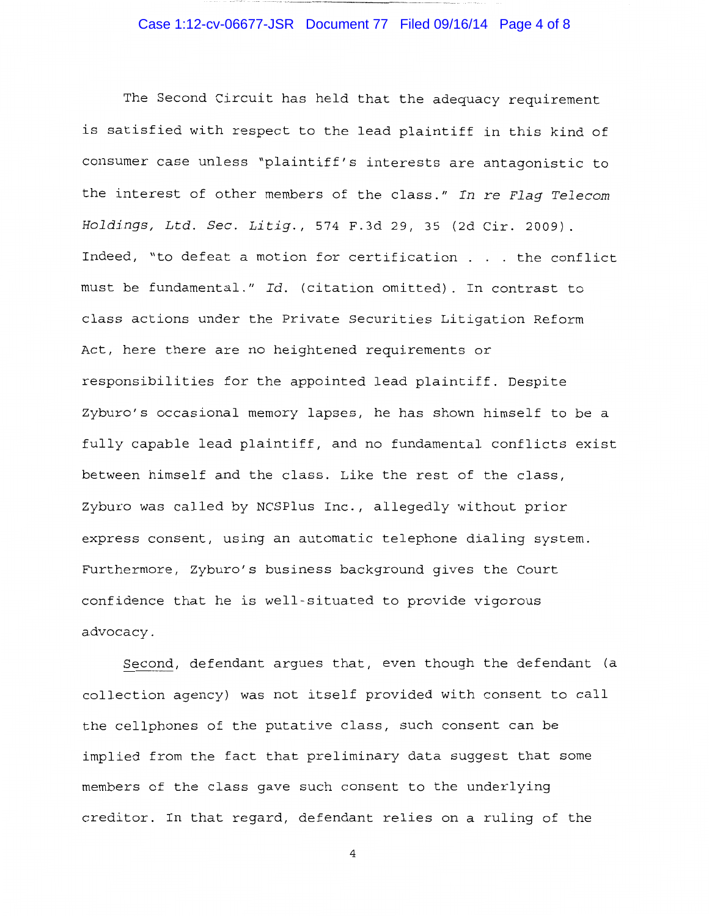# Case 1:12-cv-06677-JSR Document 77 Filed 09/16/14 Page 4 of 8

-----~---· -----

The Second Circuit has held that the adequacy requirement is satisfied with respect to the lead plaintiff in this kind of consumer case unless "plaintiff's interests are antagonistic to the interest of other members of the class." *In* re *Flag Telecom Holdings, Ltd. Sec. Litig.,* 574 F.3d 29, 35 (2d Cir. 2009). Indeed, "to defeat a motion for certification . . . the conflict must be fundamental." *Id.* (citation omitted). In contrast to class actions under the Private Securities Litigation Reform Act, here there are no heightened requirements or responsibilities for the appointed lead plaintiff. Despite Zyburo's occasional memory lapses, he has shown himself to be a fully capable lead plaintiff, and no fundamental conflicts exist between himself and the class. Like the rest of the class, Zyburo was called by NCSPlus Inc., allegedly without prior express consent, using an automatic telephone dialing system. Furthermore, Zyburo's business background gives the Court confidence that he is well-situated to provide vigorous advocacy.

Second, defendant argues that, even though the defendant (a collection agency) was not itself provided with consent to call the cellphones of the putative class, such consent can be implied from the fact that preliminary data suggest that some members of the class gave such consent to the underlying creditor. In that regard, defendant relies on a ruling of the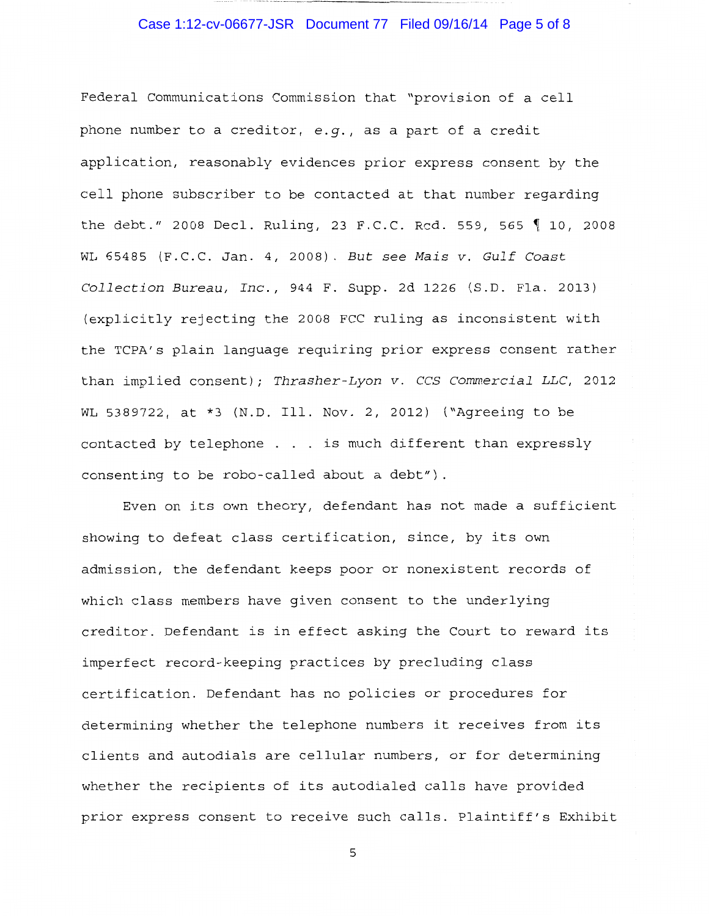#### Case 1:12-cv-06677-JSR Document 77 Filed 09/16/14 Page 5 of 8

Federal Communications Commission that "provision of a cell phone number to a creditor, *e.g.,* as a part of a credit application, reasonably evidences prior express consent by the cell phone subscriber to be contacted at that number regarding the debt." 2008 Decl. Ruling, 23 F.C.C. Rcd. 559, 565  $\parallel$  10, 2008 WL 65485 (F.C.C. Jan. 4, 2008). *But see Mais v. Gulf Coast Collection Bureau, Inc.,* 944 F. Supp. 2d 1226 (S.D. Fla. 2013) (explicitly rejecting the 2008 FCC ruling as inconsistent with the TCPA's plain language requiring prior express consent rather than implied consent); *Thrasher-Lyon v. CCS Commercial LLC,* 2012 WL 5389722, at \*3 (N.D. Ill. Nov. 2, 2012) ("Agreeing to be contacted by telephone . . . is much different than expressly consenting to be robo-called about a debt").

Even on its own theory, defendant has not made a sufficient showing to defeat class certification, since, by its own admission, the defendant keeps poor or nonexistent records of which class members have given consent to the underlying creditor. Defendant is in effect asking the Court to reward its imperfect record-keeping practices by precluding class certification. Defendant has no policies or procedures for determining whether the telephone numbers it receives from its clients and autodials are cellular numbers, or for determining whether the recipients of its autodialed calls have provided prior express consent to receive such calls. Plaintiff's Exhibit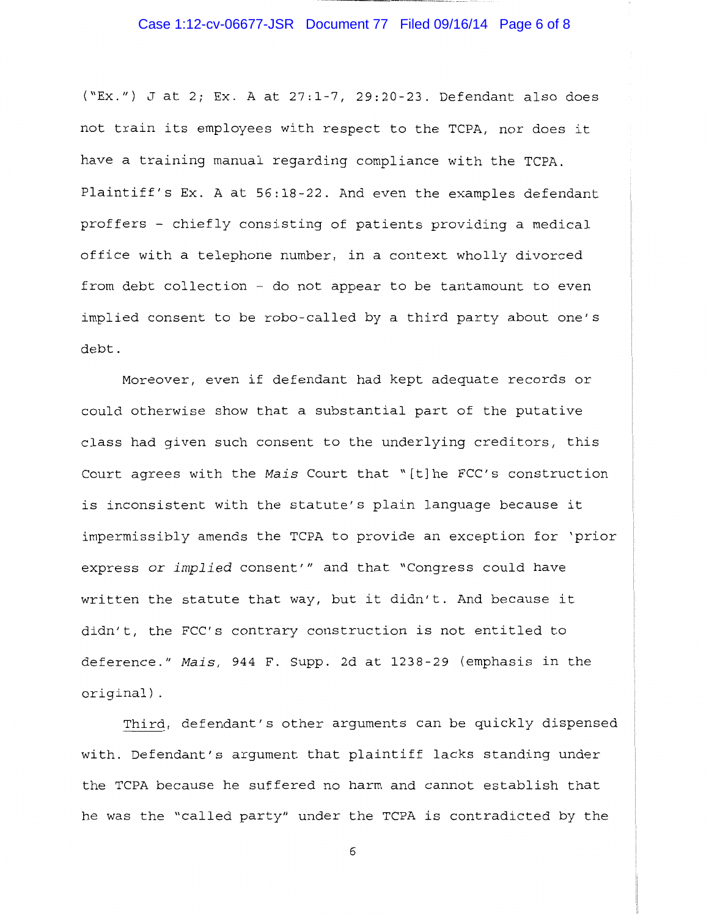#### Case 1:12-cv-06677-JSR Document 77 Filed 09/16/14 Page 6 of 8

("Ex.") J at 2; Ex. A at 27:1-7, 29:20-23. Defendant also does not train its employees with respect to the TCPA, nor does it have a training manual regarding compliance with the TCPA. Plaintiff's Ex. A at 56:18-22. And even the examples defendant proffers - chiefly consisting of patients providing a medical office with a telephone number, in a context wholly divorced from debt collection - do not appear to be tantamount to even implied consent to be robo-called by a third party about one's debt.

Moreover, even if defendant had kept adequate records or could otherwise show that a substantial part of the putative class had given such consent to the underlying creditors, this Court agrees with the *Mais* Court that "[t]he FCC's construction is inconsistent with the statute's plain language because it impermissibly amends the TCPA to provide an exception for 'prior express or *implied* consent'" and that "Congress could have written the statute that way, but it didn't. And because it didn't, the FCC's contrary construction is not entitled to deference." *Mais,* 944 F. Supp. 2d at 1238-29 (emphasis in the original) .

Third, defendant's other arguments can be quickly dispensed with. Defendant's argument that plaintiff lacks standing under the TCPA because he suffered no harm and cannot establish that he was the "called party" under the TCPA is contradicted by the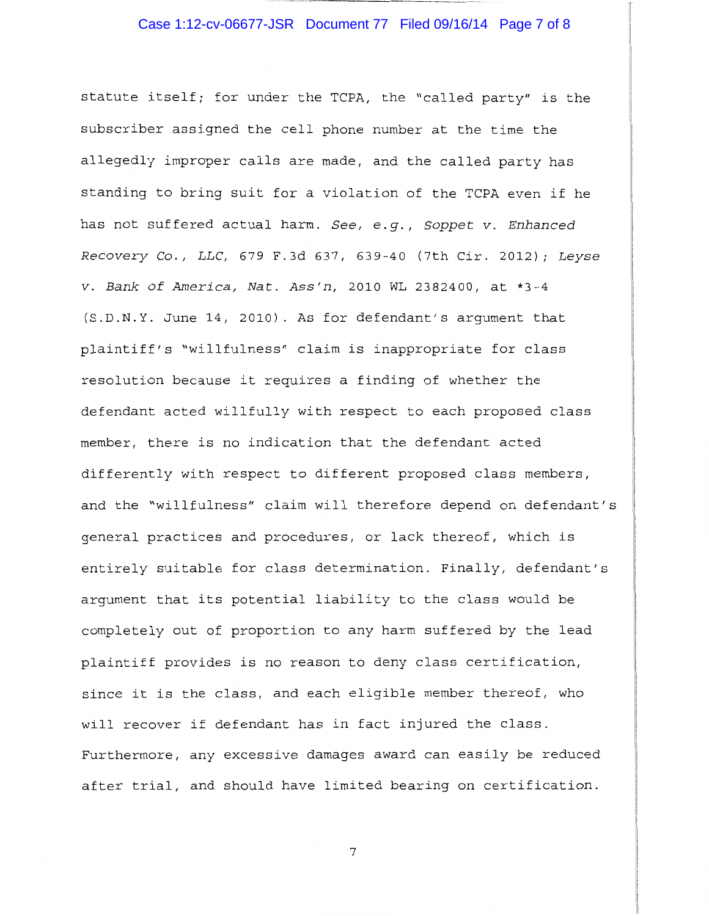#### Case 1:12-cv-06677-JSR Document 77 Filed 09/16/14 Page 7 of 8

statute itself; for under the TCPA, the "called party" is the subscriber assigned the cell phone number at the time the allegedly improper calls are made, and the called party has standing to bring suit for a violation of the TCPA even if he has not suffered actual harm. *See, e.g., Soppet v. Enhanced Recovery* Co., *LLC,* 679 F.3d 637, 639-40 (7th Cir. 2012); *Leyse v. Bank of America, Nat. Ass'n,* 2010 WL 2382400, at \*3-4 (S.D.N.Y. June 14, 2010). As for defendant's argument that plaintiff's "willfulness" claim is inappropriate for class resolution because it requires a finding of whether the defendant acted willfully with respect to each proposed class member, there is no indication that the defendant acted differently with respect to different proposed class members, and the "willfulness" claim will therefore depend on defendant's general practices and procedures, or lack thereof, which is entirely suitable for class determination. Finally, defendant's argument that its potential liability to the class would be completely out of proportion to any harm suffered by the lead plaintiff provides is no reason to deny class certification, since it is the class, and each eligible member thereof, who will recover if defendant has in fact injured the class. Furthermore, any excessive damages award can easily be reduced after trial, and should have limited bearing on certification.